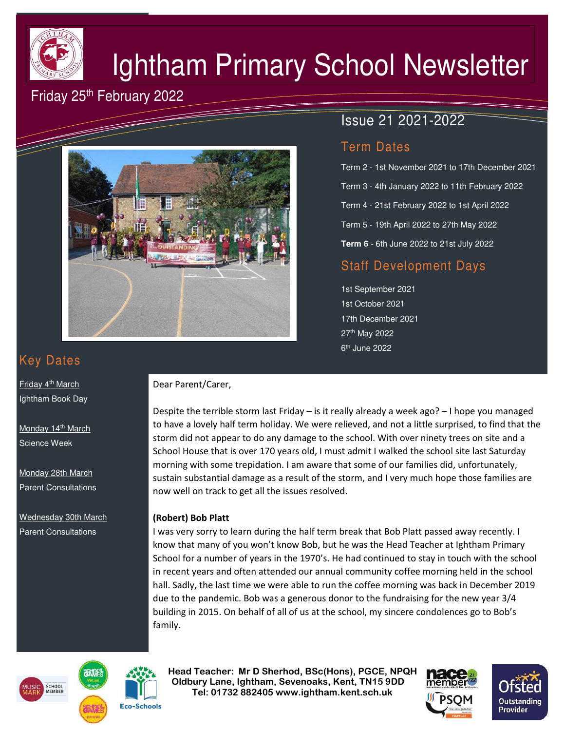

# Ightham Primary School Newsletter

# Friday 25<sup>th</sup> February 2022



# Issue 21 2021-2022

## Term Dates

Term 2 - 1st November 2021 to 17th December 2021 Term 3 - 4th January 2022 to 11th February 2022 Term 4 - 21st February 2022 to 1st April 2022 Term 5 - 19th April 2022 to 27th May 2022 **Term 6** - 6th June 2022 to 21st July 2022

## Staff Development Days

1st September 2021 1st October 2021 17th December 2021 27th May 2022 6<sup>th</sup> June 2022

# Key Dates

Friday 4<sup>th</sup> March Ightham Book Day

Monday 14<sup>th</sup> March Science Week

Monday 28th March Parent Consultations

Wednesday 30th March Parent Consultations

#### Dear Parent/Carer,

Despite the terrible storm last Friday – is it really already a week ago? – I hope you managed to have a lovely half term holiday. We were relieved, and not a little surprised, to find that the storm did not appear to do any damage to the school. With over ninety trees on site and a School House that is over 170 years old, I must admit I walked the school site last Saturday morning with some trepidation. I am aware that some of our families did, unfortunately, sustain substantial damage as a result of the storm, and I very much hope those families are now well on track to get all the issues resolved.

#### **(Robert) Bob Platt**

I was very sorry to learn during the half term break that Bob Platt passed away recently. I know that many of you won't know Bob, but he was the Head Teacher at Ightham Primary School for a number of years in the 1970's. He had continued to stay in touch with the school in recent years and often attended our annual community coffee morning held in the school hall. Sadly, the last time we were able to run the coffee morning was back in December 2019 due to the pandemic. Bob was a generous donor to the fundraising for the new year 3/4 building in 2015. On behalf of all of us at the school, my sincere condolences go to Bob's family.





 **Head Teacher: Mr D Sherhod, BSc(Hons), PGCE, NPQH Oldbury Lane, Ightham, Sevenoaks, Kent, TN15 9DD** EXERIGING THE **TELE: 01732 882405 www.ightham.kent.sch.uk**<br>Tel: 01732 882405 www.ightham.kent.sch.uk



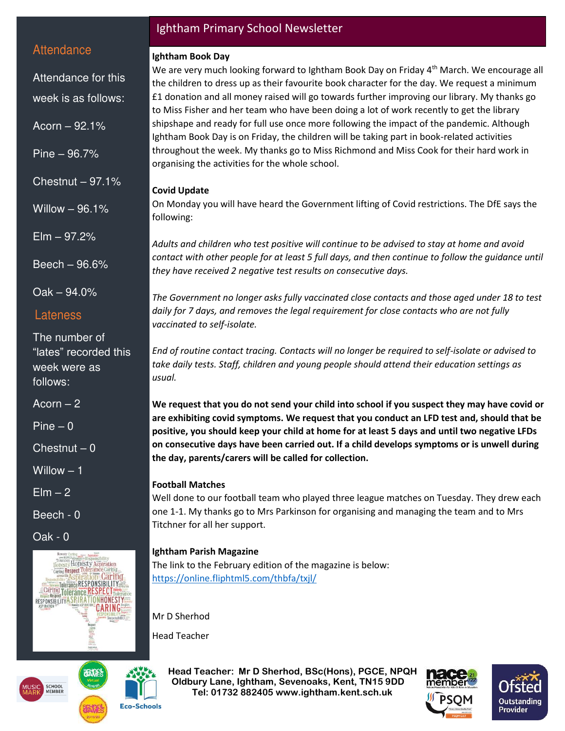### **Attendance**

Attendance for this week is as follows:

Acorn – 92.1%

Pine – 96.7%

Chestnut  $-97.1%$ 

Willow – 96.1%

Elm – 97.2%

Beech – 96.6%

Oak – 94.0%

#### Lateness

The number of "lates" recorded this week were as follows:

Acorn  $-2$ 

Pine – 0

 $Chestnut - 0$ 

Willow – 1

 $E$ lm  $-2$ 

Beech - 0

Oak - 0





#### Ightham Primary School Newsletter

#### **Ightham Book Day**

We are very much looking forward to Ightham Book Day on Friday 4<sup>th</sup> March. We encourage all the children to dress up as their favourite book character for the day. We request a minimum £1 donation and all money raised will go towards further improving our library. My thanks go to Miss Fisher and her team who have been doing a lot of work recently to get the library shipshape and ready for full use once more following the impact of the pandemic. Although Ightham Book Day is on Friday, the children will be taking part in book-related activities throughout the week. My thanks go to Miss Richmond and Miss Cook for their hard work in organising the activities for the whole school.

#### **Covid Update**

On Monday you will have heard the Government lifting of Covid restrictions. The DfE says the following:

*Adults and children who test positive will continue to be advised to stay at home and avoid contact with other people for at least 5 full days, and then continue to follow the guidance until they have received 2 negative test results on consecutive days.* 

*The Government no longer asks fully vaccinated close contacts and those aged under 18 to test daily for 7 days, and removes the legal requirement for close contacts who are not fully vaccinated to self-isolate.* 

*End of routine contact tracing. Contacts will no longer be required to self-isolate or advised to take daily tests. Staff, children and young people should attend their education settings as usual.* 

**We request that you do not send your child into school if you suspect they may have covid or are exhibiting covid symptoms. We request that you conduct an LFD test and, should that be positive, you should keep your child at home for at least 5 days and until two negative LFDs on consecutive days have been carried out. If a child develops symptoms or is unwell during the day, parents/carers will be called for collection.** 

#### **Football Matches**

Well done to our football team who played three league matches on Tuesday. They drew each one 1-1. My thanks go to Mrs Parkinson for organising and managing the team and to Mrs Titchner for all her support.

#### **Ightham Parish Magazine**

The link to the February edition of the magazine is below: <https://online.fliphtml5.com/thbfa/txjl/>

Mr D Sherhod

Head Teacher

 **Head Teacher: Mr D Sherhod, BSc(Hons), PGCE, NPQH Oldbury Lane, Ightham, Sevenoaks, Kent, TN15 9DD** EXERIGING THE **TELE: 01732 882405 www.ightham.kent.sch.uk**<br>Tel: 01732 882405 www.ightham.kent.sch.uk